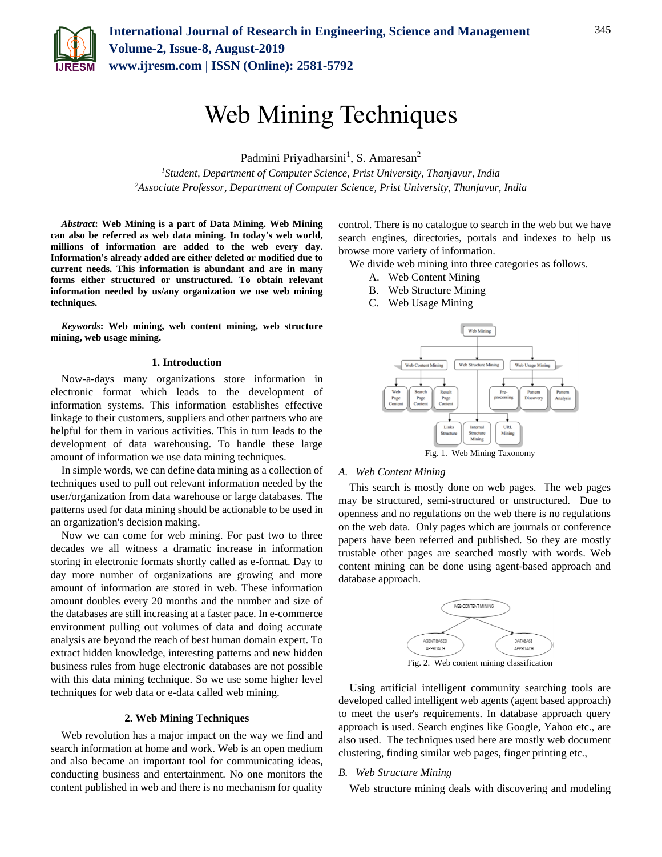

# Web Mining Techniques

Padmini Priyadharsini<sup>1</sup>, S. Amaresan<sup>2</sup>

*<sup>1</sup>Student, Department of Computer Science, Prist University, Thanjavur, India <sup>2</sup>Associate Professor, Department of Computer Science, Prist University, Thanjavur, India*

*Abstract***: Web Mining is a part of Data Mining. Web Mining can also be referred as web data mining. In today's web world, millions of information are added to the web every day. Information's already added are either deleted or modified due to current needs. This information is abundant and are in many forms either structured or unstructured. To obtain relevant information needed by us/any organization we use web mining techniques.**

*Keywords***: Web mining, web content mining, web structure mining, web usage mining.**

### **1. Introduction**

Now-a-days many organizations store information in electronic format which leads to the development of information systems. This information establishes effective linkage to their customers, suppliers and other partners who are helpful for them in various activities. This in turn leads to the development of data warehousing. To handle these large amount of information we use data mining techniques.

In simple words, we can define data mining as a collection of techniques used to pull out relevant information needed by the user/organization from data warehouse or large databases. The patterns used for data mining should be actionable to be used in an organization's decision making.

Now we can come for web mining. For past two to three decades we all witness a dramatic increase in information storing in electronic formats shortly called as e-format. Day to day more number of organizations are growing and more amount of information are stored in web. These information amount doubles every 20 months and the number and size of the databases are still increasing at a faster pace. In e-commerce environment pulling out volumes of data and doing accurate analysis are beyond the reach of best human domain expert. To extract hidden knowledge, interesting patterns and new hidden business rules from huge electronic databases are not possible with this data mining technique. So we use some higher level techniques for web data or e-data called web mining.

# **2. Web Mining Techniques**

Web revolution has a major impact on the way we find and search information at home and work. Web is an open medium and also became an important tool for communicating ideas, conducting business and entertainment. No one monitors the content published in web and there is no mechanism for quality

control. There is no catalogue to search in the web but we have search engines, directories, portals and indexes to help us browse more variety of information.

We divide web mining into three categories as follows.

- A. Web Content Mining
- B. Web Structure Mining
- C. Web Usage Mining



#### *A. Web Content Mining*

This search is mostly done on web pages. The web pages may be structured, semi-structured or unstructured. Due to openness and no regulations on the web there is no regulations on the web data. Only pages which are journals or conference papers have been referred and published. So they are mostly trustable other pages are searched mostly with words. Web content mining can be done using agent-based approach and database approach.



Fig. 2. Web content mining classification

Using artificial intelligent community searching tools are developed called intelligent web agents (agent based approach) to meet the user's requirements. In database approach query approach is used. Search engines like Google, Yahoo etc., are also used. The techniques used here are mostly web document clustering, finding similar web pages, finger printing etc.,

# *B. Web Structure Mining*

Web structure mining deals with discovering and modeling